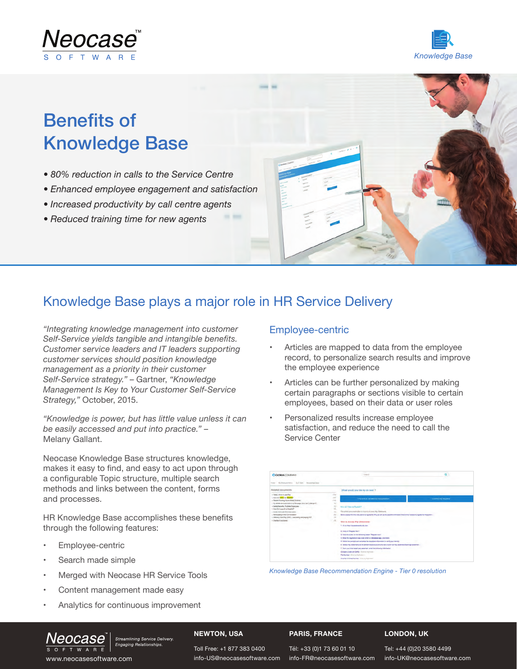



## Benefits of Knowledge Base

- *• 80% reduction in calls to the Service Centre*
- *• Enhanced employee engagement and satisfaction*
- *• Increased productivity by call centre agents*
- *• Reduced training time for new agents*

### Knowledge Base plays a major role in HR Service Delivery

*"Integrating knowledge management into customer Self-Service yields tangible and intangible benefits. Customer service leaders and IT leaders supporting customer services should position knowledge management as a priority in their customer Self-Service strategy."* – Gartner, *"Knowledge Management Is Key to Your Customer Self-Service Strategy,"* October, 2015.

*"Knowledge is power, but has little value unless it can be easily accessed and put into practice."* – Melany Gallant.

Neocase Knowledge Base structures knowledge, makes it easy to find, and easy to act upon through a configurable Topic structure, multiple search methods and links between the content, forms and processes.

HR Knowledge Base accomplishes these benefits through the following features:

- Employee-centric
- Search made simple
- Merged with Neocase HR Service Tools
- Content management made easy
- Analytics for continuous improvement

Streamlining Service Delivery.<br>Engaging Relationships.

#### Employee-centric

- Articles are mapped to data from the employee record, to personalize search results and improve the employee experience
- Articles can be further personalized by making certain paragraphs or sections visible to certain employees, based on their data or user roles
- Personalized results increase employee satisfaction, and reduce the need to call the Service Center

| 6) Engineer Greec Da E Carlo - Manufasta Essay<br><b>State of Con-</b>                                                                                                                                                                                                                                                                                                                        |                                                           |                                                                                                                                                                                                                                                                                                                                                                      |                   |  |
|-----------------------------------------------------------------------------------------------------------------------------------------------------------------------------------------------------------------------------------------------------------------------------------------------------------------------------------------------------------------------------------------------|-----------------------------------------------------------|----------------------------------------------------------------------------------------------------------------------------------------------------------------------------------------------------------------------------------------------------------------------------------------------------------------------------------------------------------------------|-------------------|--|
| Related documents                                                                                                                                                                                                                                                                                                                                                                             |                                                           | What would you like to do next ?                                                                                                                                                                                                                                                                                                                                     |                   |  |
| - Video chiave la use Pau<br>Lines or Dress by Reynold<br>- Figure Visiting Hours' Midst Scheme<br>- By Shiels are incurred in my Bis says, how can't change 47.<br>· Detaillerate, Foldes Exponent<br>- Now Do Lawrell a Shadraff<br>a Goals tren user francheiseren<br>- Retiropateg is the Conversation<br>- Shintery Airk Pay (550) - Catolining and paying 3.57<br>4 Eltarts of Accounts | $\sim$<br>mar.<br><b>A</b><br>$+$                         | This article answered my question                                                                                                                                                                                                                                                                                                                                    | Contra my request |  |
|                                                                                                                                                                                                                                                                                                                                                                                               | ×<br>×.<br>$\overline{a}$<br>$\sim$<br>$\rightarrow$<br>× | tion and plans on Payable!<br>This artist good instruction for hour to Antonio Ray Stationerty<br>Button present find the intervalsors' to regime for IP as an extra point as the special channel that will be needed to request to register that the automo-<br>thuy in Accoss (Pay Statements)<br>1. On to https://pacetalamarks.adja.com<br>& Eva on Happen North |                   |  |
|                                                                                                                                                                                                                                                                                                                                                                                               |                                                           | & Cola ma summ on the bilinging areas. Magazet rail ?.<br>. Emerge experience plus sold limite in streamer spot, one hand.                                                                                                                                                                                                                                           |                   |  |
|                                                                                                                                                                                                                                                                                                                                                                                               |                                                           | 6. Tollins the points and sumplies the requires information to verify your blankly                                                                                                                                                                                                                                                                                   |                   |  |
|                                                                                                                                                                                                                                                                                                                                                                                               |                                                           | 8. Select Pay Datements in the authorities product and the test to their for Pau Soument Eartings Statement.                                                                                                                                                                                                                                                         |                   |  |
|                                                                                                                                                                                                                                                                                                                                                                                               |                                                           | 7. Flow your mind recent per colorisers, what line following information:                                                                                                                                                                                                                                                                                            |                   |  |
|                                                                                                                                                                                                                                                                                                                                                                                               |                                                           | Gorgany Loss att LAPS: characterization                                                                                                                                                                                                                                                                                                                              |                   |  |
|                                                                                                                                                                                                                                                                                                                                                                                               |                                                           | Fita Nambur (Fruit to High smart)                                                                                                                                                                                                                                                                                                                                    |                   |  |
|                                                                                                                                                                                                                                                                                                                                                                                               |                                                           | <b><i><u>Inventor Dram Number + County Four County</u></i></b>                                                                                                                                                                                                                                                                                                       |                   |  |



#### **NEWTON, USA**

#### **PARIS, FRANCE**

#### **LONDON, UK**

www.neocasesoftware.com entro-US@neocasesoftware.com info-FR@neocasesoftware.com info-UK@neocasesoftware.com

Toll Free: +1 877 383 0400 info-US@neocasesoftware.com

Tél: +33 (0)1 73 60 01 10 info-FR@neocasesoftware.com Tel: +44 (0)20 3580 4499